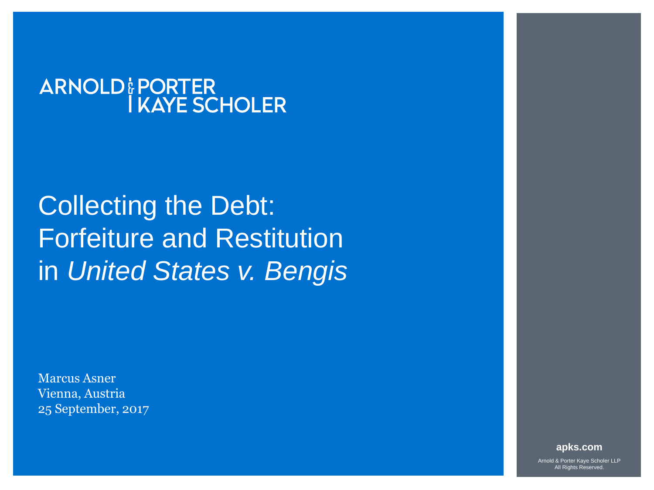#### **ARNOLD: PORTER I KAYE SCHOLER**

# Collecting the Debt: Forfeiture and Restitution in *United States v. Bengis*

Marcus Asner Vienna, Austria 25 September, 2017

**apks.com**

Arnold & Porter Kaye Scholer LLP All Rights Reserved.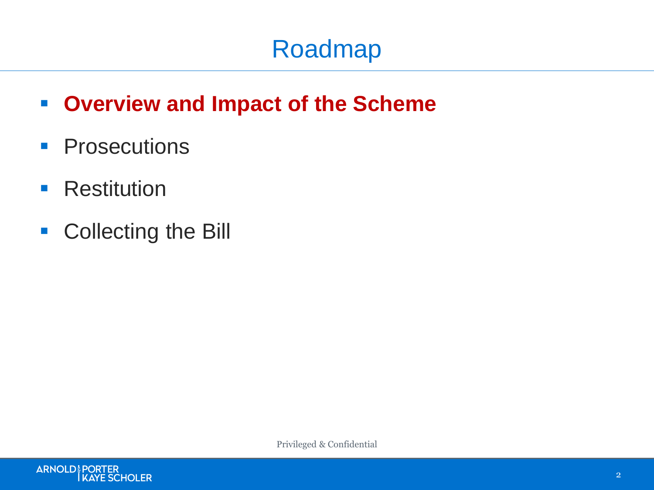#### **Overview and Impact of the Scheme**

- **Prosecutions**
- **Restitution**
- Collecting the Bill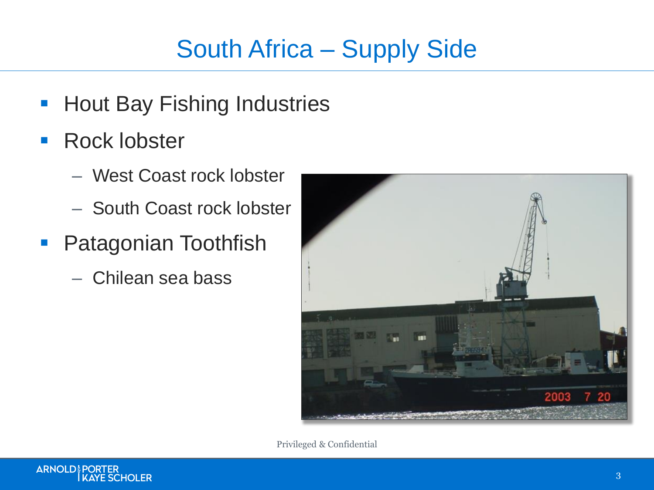## South Africa – Supply Side

- **Hout Bay Fishing Industries**
- **Rock lobster** 
	- West Coast rock lobster
	- South Coast rock lobster
- **Patagonian Toothfish** 
	- Chilean sea bass



Privileged & Confidential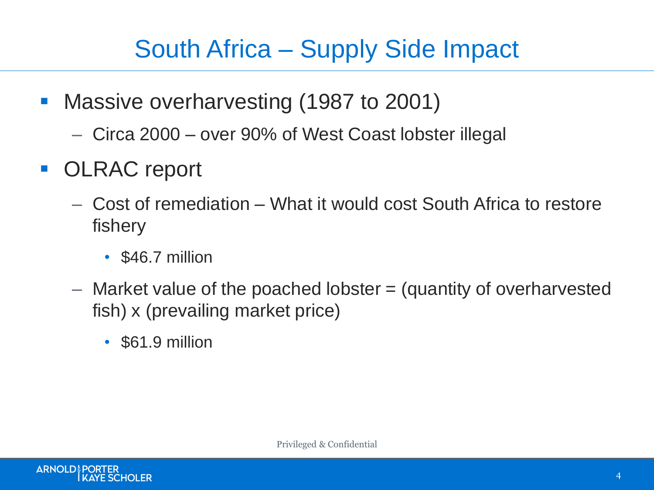#### South Africa – Supply Side Impact

- **Nassive overharvesting (1987 to 2001)** 
	- Circa 2000 over 90% of West Coast lobster illegal
- **OLRAC report** 
	- Cost of remediation What it would cost South Africa to restore fishery
		- \$46.7 million
	- $-$  Market value of the poached lobster  $=$  (quantity of overharvested fish) x (prevailing market price)
		- \$61.9 million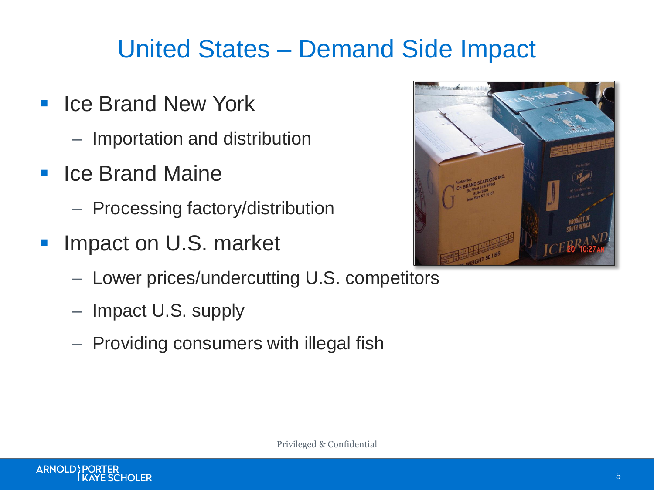#### United States – Demand Side Impact

- Ice Brand New York
	- Importation and distribution
- **E** Ice Brand Maine
	- Processing factory/distribution
- Impact on U.S. market
	- Lower prices/undercutting U.S. competitors
	- Impact U.S. supply
	- Providing consumers with illegal fish

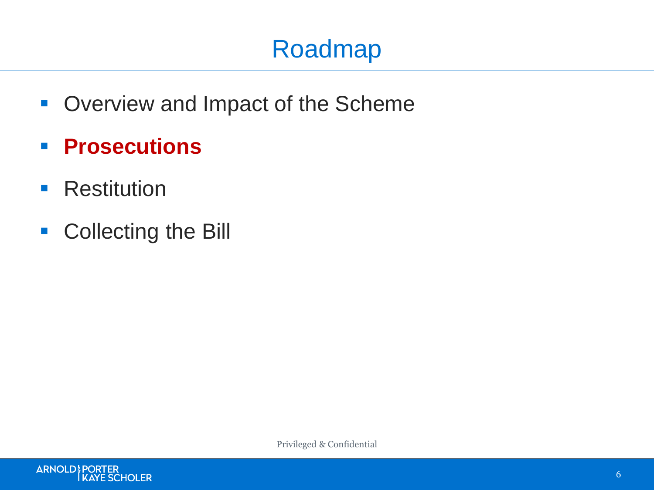## Roadmap

- **Overview and Impact of the Scheme**
- **Prosecutions**
- **Restitution**
- Collecting the Bill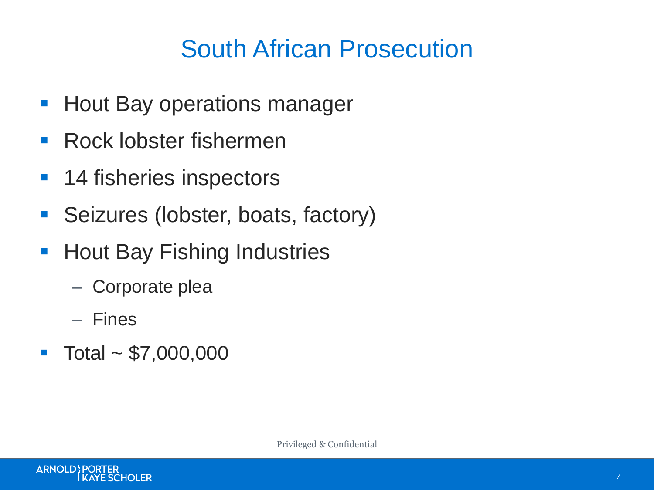#### South African Prosecution

- **Hout Bay operations manager**
- Rock lobster fishermen
- 14 fisheries inspectors
- **Seizures (lobster, boats, factory)**
- **Hout Bay Fishing Industries** 
	- Corporate plea
	- Fines
- $\blacksquare$  Total ~ \$7,000,000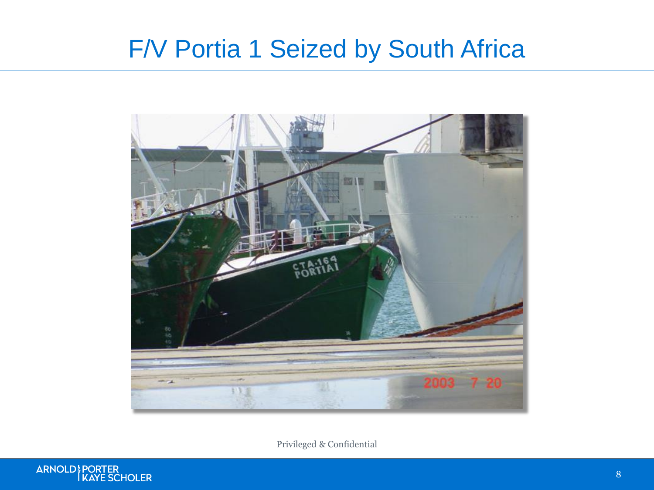#### F/V Portia 1 Seized by South Africa



Privileged & Confidential

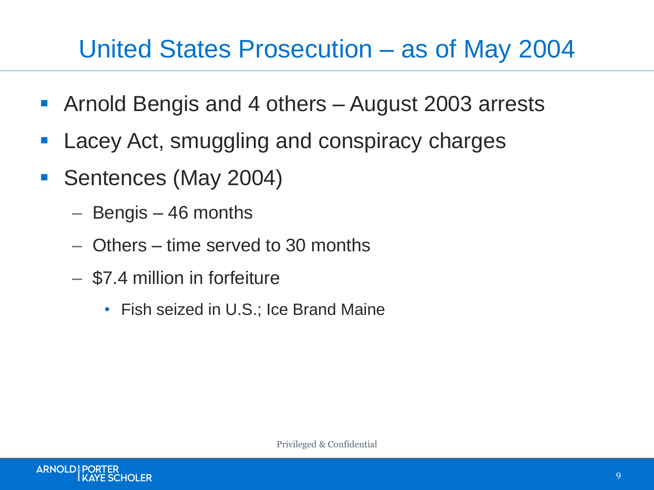#### United States Prosecution – as of May 2004

- Arnold Bengis and 4 others August 2003 arrests
- **Lacey Act, smuggling and conspiracy charges**
- Sentences (May 2004)
	- Bengis 46 months
	- Others time served to 30 months
	- \$7.4 million in forfeiture
		- Fish seized in U.S.; Ice Brand Maine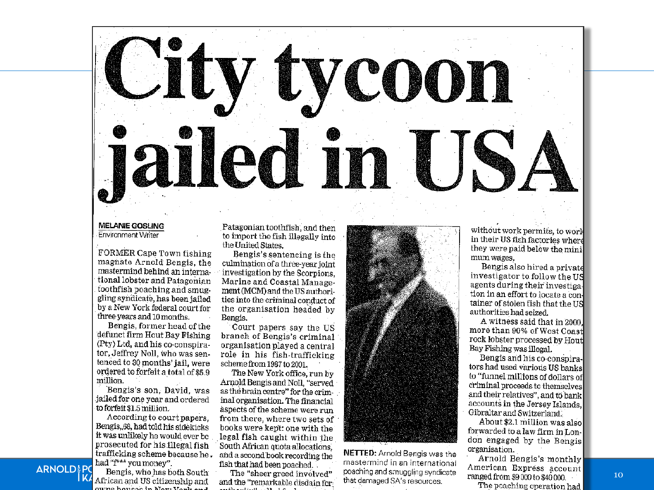

#### **MELANIE GOSLING**

Environment Writer

FORMER Cape Town fishing magnate Arnold Bengis, the mastermind behind an international lobster and Patagonian toothfish poaching and smuggling syndicate, has been jailed by a New York federal court for three years and 10 months.

Bengis, former head of the defunct firm Hout Bay Fishing (Pty) Ltd, and his co-conspirator, Jeffrey Noll, who was sentenced to 30 months' jail, were ordered to forfeit a total of \$5.9 million.

Bengis's son, David, was jailed for one year and ordered to forfeit \$1.5 million.

According to court papers. Bengis, 68, had told his sidekicks it was unlikely he would ever be prosecuted for his illegal fish trafficking scheme because he. had "f\*\*\* you money".

Bengis, who has both South African and US citizenship and uma hannoù in Your Varile

**ARNOLD&P** 

Patagonian toothfish, and then to import the fish illegally into the United States.

Bengis's sentencing is the culmination of a three-year joint investigation by the Scorpions, Marine and Coastal Management (MCM) and the US authorities into the criminal conduct of the organisation headed by Bengis.

Court papers say the US branch of Bengis's criminal organisation played a central role in his fish-trafficking scheme from 1987 to 2001.

The New York office, run by Arnold Bengis and Noll, "served as the brain centre" for the criminal organisation. The financial aspects of the scheme were run from there, where two sets of books were kept: one with the legal fish caught within the<br>South African quota allocations,<br>and a second book recording the NETTED: Arnold Bengis was the and a second book recording the fish that had been poached.

The "sheer greed involved" and the "remarkable disdain for



mastermind in an international poaching and smuggling syndicate that damaged SA's resources.

without work permits, to work in their US fish factories where they were paid below the minimum wages.

Bengis also hired a private investigator to follow the US agents during their investigation in an effort to locate a container of stolen fish that the US authorities had seized.

A witness said that in 2000. more than 90% of West Coast rock lobster processed by Hout Bay Fishing was illegal.

Bengis and his co-conspirators had used various US banks to "funnel millions of dollars of criminal proceeds to themselves and their relatives", and to bank accounts in the Jersey Islands. Gibraltar and Switzerland.

About \$2.1 million was also forwarded to a law firm in London engaged by the Bengis organisation.

Arnold Bengis's monthly American Express account ranged from \$9000 to \$40 000.

The poaching operation had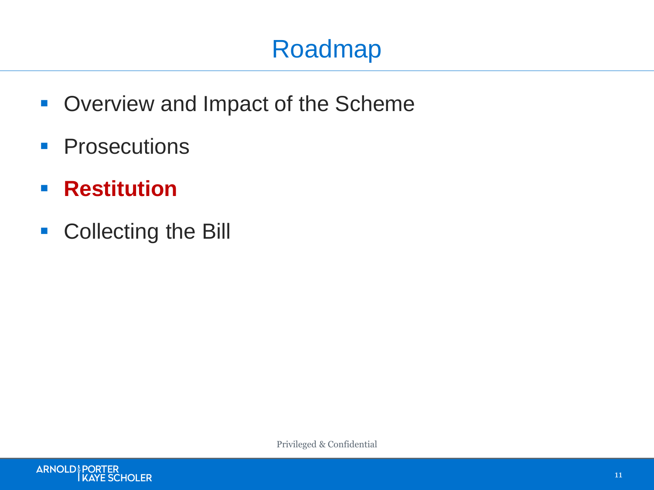## Roadmap

- **Overview and Impact of the Scheme**
- **Prosecutions**
- **Restitution**
- Collecting the Bill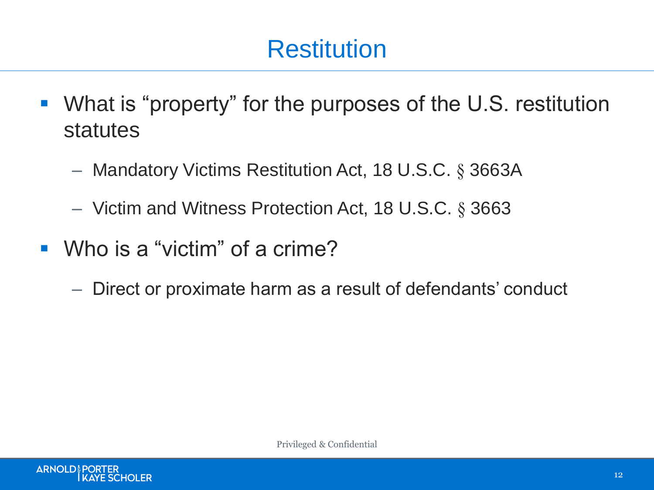#### **Restitution**

- What is "property" for the purposes of the U.S. restitution statutes
	- Mandatory Victims Restitution Act, 18 U.S.C. § 3663A
	- Victim and Witness Protection Act, 18 U.S.C. § 3663
- Who is a "victim" of a crime?
	- Direct or proximate harm as a result of defendants' conduct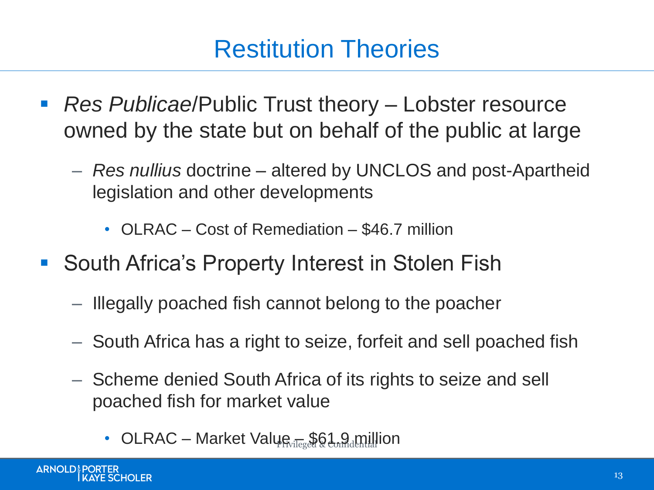#### Restitution Theories

- *Res Publicae*/Public Trust theory Lobster resource owned by the state but on behalf of the public at large
	- *Res nullius* doctrine altered by UNCLOS and post-Apartheid legislation and other developments
		- OLRAC Cost of Remediation \$46.7 million
- South Africa's Property Interest in Stolen Fish
	- Illegally poached fish cannot belong to the poacher
	- South Africa has a right to seize, forfeit and sell poached fish
	- Scheme denied South Africa of its rights to seize and sell poached fish for market value
		- OLRAC Market Value  $\mathbb{R}$   $\mathbb{R}$   $\mathbb{R}$   $\mathbb{R}$   $\mathbb{R}$   $\mathbb{R}$   $\mathbb{R}$   $\mathbb{R}$   $\mathbb{R}$   $\mathbb{R}$   $\mathbb{R}$   $\mathbb{R}$   $\mathbb{R}$   $\mathbb{R}$   $\mathbb{R}$   $\mathbb{R}$   $\mathbb{R}$   $\mathbb{R}$   $\mathbb{R}$   $\mathbb{R}$   $\mathbb{R}$   $\mathbb{R}$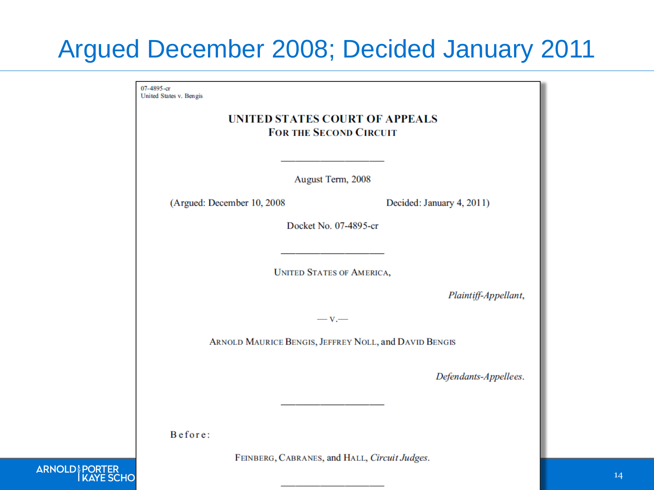#### Argued December 2008; Decided January 2011

07-4895-cr United States v. Bengis

#### **UNITED STATES COURT OF APPEALS FOR THE SECOND CIRCUIT**

August Term, 2008

(Argued: December 10, 2008)

Decided: January 4, 2011)

Docket No. 07-4895-cr

**UNITED STATES OF AMERICA,** 

Plaintiff-Appellant,

 $-v-$ 

ARNOLD MAURICE BENGIS, JEFFREY NOLL, and DAVID BENGIS

Defendants-Appellees.

Before:

FEINBERG, CABRANES, and HALL, Circuit Judges.

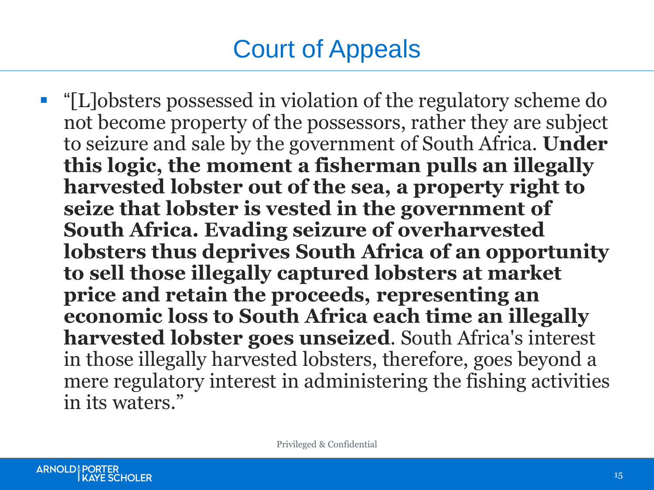## Court of Appeals

 "[L]obsters possessed in violation of the regulatory scheme do not become property of the possessors, rather they are subject to seizure and sale by the government of South Africa. **Under this logic, the moment a fisherman pulls an illegally harvested lobster out of the sea, a property right to seize that lobster is vested in the government of South Africa. Evading seizure of overharvested lobsters thus deprives South Africa of an opportunity to sell those illegally captured lobsters at market price and retain the proceeds, representing an economic loss to South Africa each time an illegally harvested lobster goes unseized**. South Africa's interest in those illegally harvested lobsters, therefore, goes beyond a mere regulatory interest in administering the fishing activities in its waters."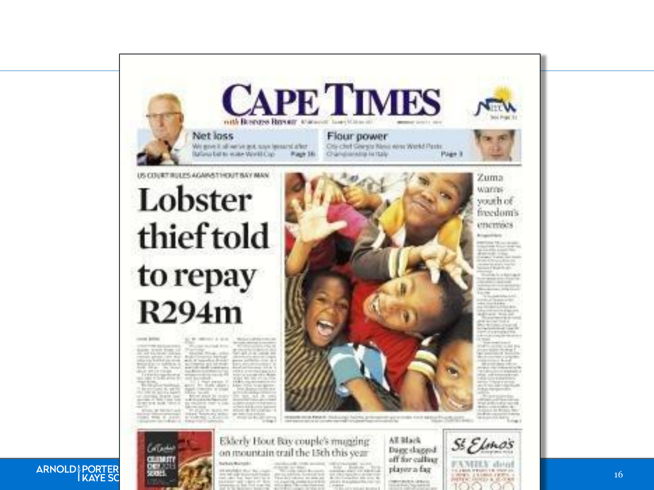

#### ARNOLD! PORTER

Collection

**CRUINASTY** 

hanas manael. of environment and the country

**THE REAL PROPERTY AND INCOME.** anticipal consider prospects Dagg dagged. off for calling player a fag. **CONTRACTOR AND IN** 

party children and com-



16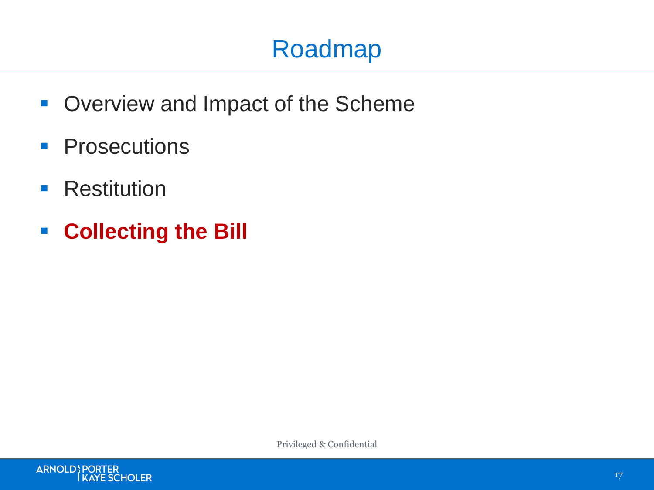## Roadmap

- **Overview and Impact of the Scheme**
- **Prosecutions**
- **Restitution**
- **Collecting the Bill**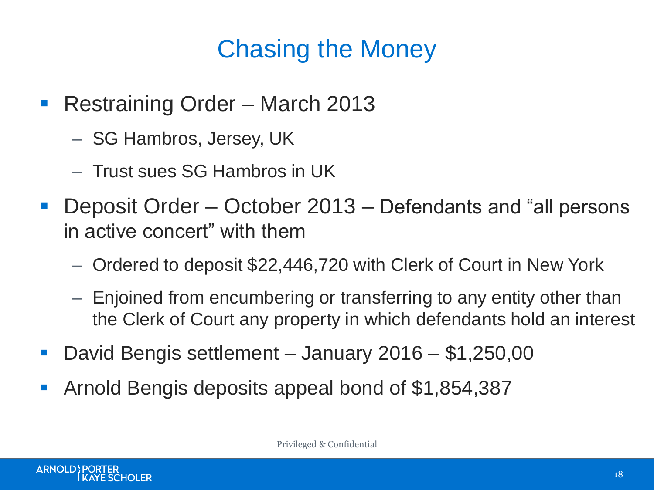## Chasing the Money

- Restraining Order March 2013
	- SG Hambros, Jersey, UK
	- Trust sues SG Hambros in UK
- Deposit Order October 2013 Defendants and "all persons in active concert" with them
	- Ordered to deposit \$22,446,720 with Clerk of Court in New York
	- Enjoined from encumbering or transferring to any entity other than the Clerk of Court any property in which defendants hold an interest
- David Bengis settlement January 2016 \$1,250,00
- Arnold Bengis deposits appeal bond of \$1,854,387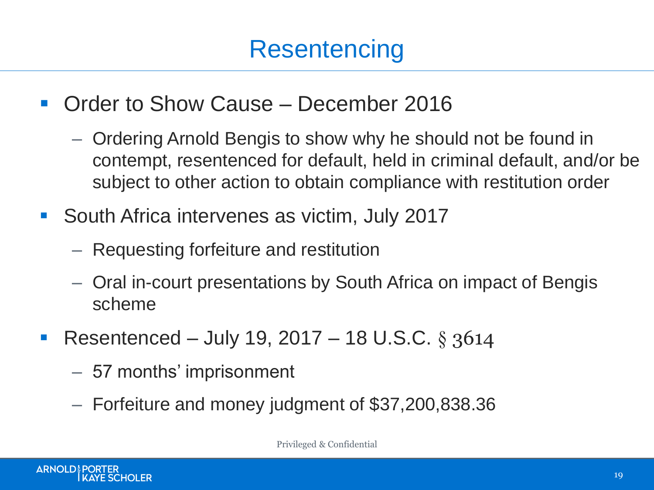- **Order to Show Cause December 2016** 
	- Ordering Arnold Bengis to show why he should not be found in contempt, resentenced for default, held in criminal default, and/or be subject to other action to obtain compliance with restitution order
- **South Africa intervenes as victim, July 2017** 
	- Requesting forfeiture and restitution
	- Oral in-court presentations by South Africa on impact of Bengis scheme
- Resentenced July 19, 2017 18 U.S.C. § 3614
	- 57 months' imprisonment
	- Forfeiture and money judgment of \$37,200,838.36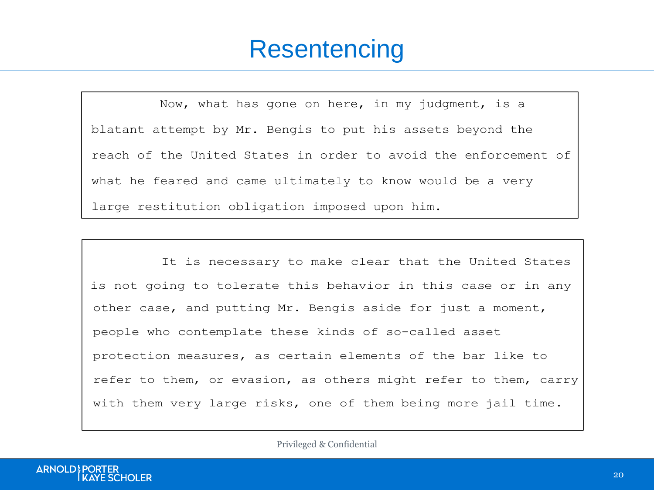#### **Resentencing** and the seriousness of the seriousness of the offense and the offense and the offense and the offense and the offense and the offense and the offense and the offense and the offense and the offense and the o chronology, that all or much of his actions of his actions of avoidance camera camera camera camera camera cam<br>The camera camera camera camera camera camera camera camera camera camera camera camera camera camera camera c

Now, what has gone on here, in my judgment, is a blatant attempt by Mr. Bengis to put his assets beyond the reach of the United States in order to avoid the enforcement of what he feared and came ultimately to know would be a very large restitution obligation imposed upon him. at a time when this court had declined to impose  $\alpha$  time when this court had declined to impose  $\alpha$ actions were taken with a claim of the United States for a very second to the United States for a very second large amount of the state of the serves of the serves serves, serves, and the serves, serves, and the serves, what in fracturating called  $\frac{1}{2}$  construction when  $\alpha$  very

It is necessary to make clear that the United States is not going to tolerate this behavior in this case or in any other case, and putting Mr. Bengis aside for just a moment, people who contemplate these kinds of so-called asset protection measures, as certain elements of the bar like to refer to them, or evasion, as others might refer to them, carry with them very farge front, one of them being more jarr of people who contemplate these kinds of so-called asset with them very large risks, one of them being more jail time.

It is necessary to make clear that the United States  $\mathcal{L}_\text{C}$  that the United States  $\mathcal{L}_\text{C}$ 

Now, whether the United States will pursue arrest and

16

fullness of time.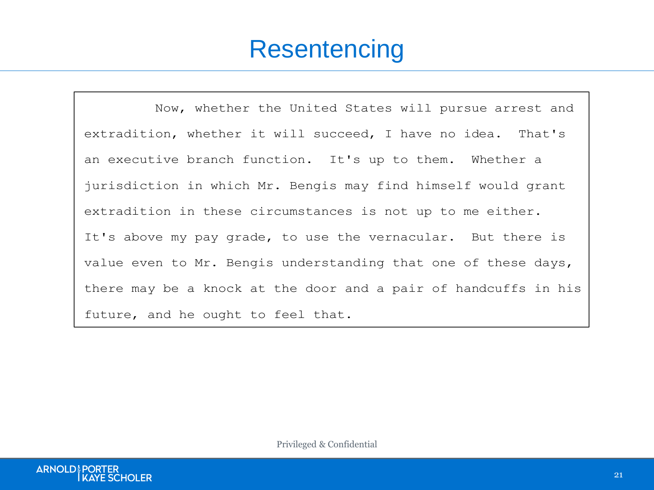#### **Resentencing** refer to the mass mass mass mass  $\alpha$

Now, whether the United States will pursue arrest and extradition, whether it will succeed, I have no idea. That's an executive branch function. It's up to them. Whether a jurisdiction in which Mr. Bengis may find himself would grant extradition in these circumstances is not up to me either. It's above my pay grade, to use the vernacular. But there is value even to Mr. Bengis understanding that one of these days, there may be a knock at the door and a pair of handcuffs in his future, and he ought to feel that.